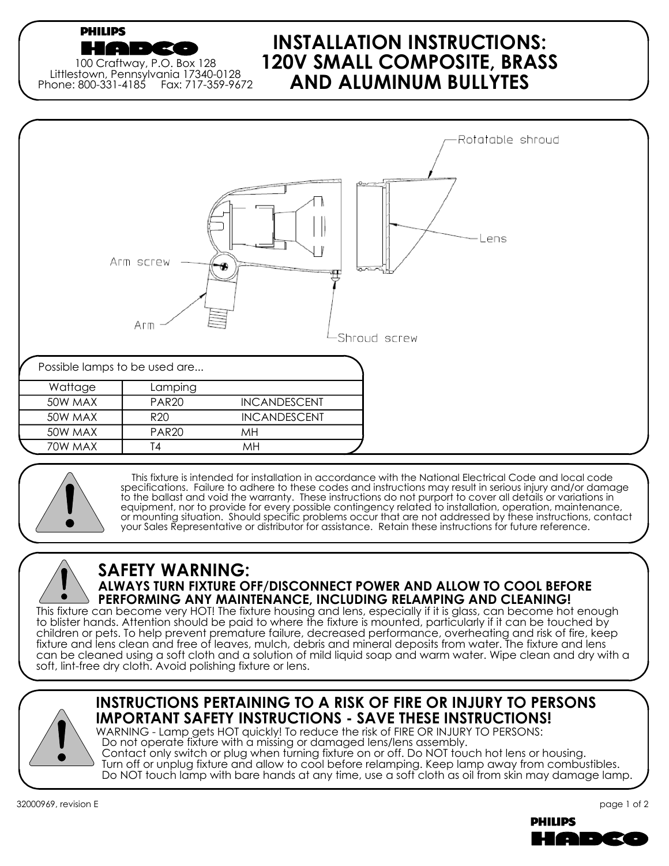### **PHILIPS**

100 Craftway, P.O. Box 128 Littlestown, Pennsylvania 17340-0128 Phone: 800-331-4185 Fax: 717-359-9672

**CONTRACTOR** 

## **INSTALLATION INSTRUCTIONS: 120V SMALL COMPOSITE, BRASS AND ALUMINUM BULLYTES**





 This fixture is intended for installation in accordance with the National Electrical Code and local code specifications. Failure to adhere to these codes and instructions may result in serious injury and/or damage to the ballast and void the warranty. These instructions do not purport to cover all details or variations in equipment, nor to provide for every possible contingency related to installation, operation, maintenance, or mounting situation. Should specific problems occur that are not addressed by these instructions, contact your Sales Representative or distributor for assistance. Retain these instructions for future reference.

# **SAFETY WARNING:**

## **ALWAYS TURN FIXTURE OFF/DISCONNECT POWER AND ALLOW TO COOL BEFORE PERFORMING ANY MAINTENANCE, INCLUDING RELAMPING AND CLEANING!**

This fixture can become very HOT! The fixture housing and lens, especially if it is glass, can become hot enough to blister hands. Attention should be paid to where the fixture is mounted, particularly if it can be touched by children or pets. To help prevent premature failure, decreased performance, overheating and risk of fire, keep fixture and lens clean and free of leaves, mulch, debris and mineral deposits from water. The fixture and lens can be cleaned using a soft cloth and a solution of mild liquid soap and warm water. Wipe clean and dry with a soft, lint-free dry cloth. Avoid polishing fixture or lens.



## **INSTRUCTIONS PERTAINING TO A RISK OF FIRE OR INJURY TO PERSONS IMPORTANT SAFETY INSTRUCTIONS - SAVE THESE INSTRUCTIONS!**

WARNING - Lamp gets HOT quickly! To reduce the risk of FIRE OR INJURY TO PERSONS: Do not operate fixture with a missing or damaged lens/lens assembly.

 Contact only switch or plug when turning fixture on or off. Do NOT touch hot lens or housing. Turn off or unplug fixture and allow to cool before relamping. Keep lamp away from combustibles. Do NOT touch lamp with bare hands at any time, use a soft cloth as oil from skin may damage lamp.

32000969, revision E

page 1 of 2